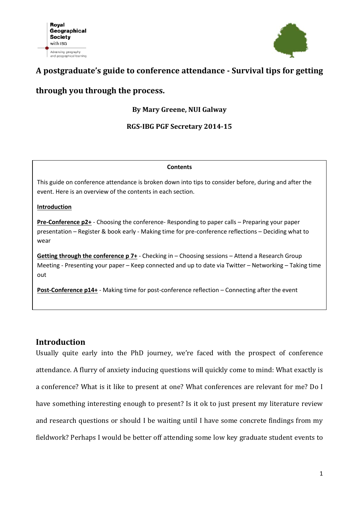

## **A postgraduate's guide to conference attendance - Survival tips for getting**

## **through you through the process.**

### **By Mary Greene, NUI Galway**

### **RGS-IBG PGF Secretary 2014-15**

#### **Contents**

This guide on conference attendance is broken down into tips to consider before, during and after the event. Here is an overview of the contents in each section.

#### **Introduction**

**Pre-Conference p2+** - Choosing the conference- Responding to paper calls – Preparing your paper presentation – Register & book early - Making time for pre-conference reflections – Deciding what to wear

**Getting through the conference p 7+** - Checking in – Choosing sessions – Attend a Research Group Meeting - Presenting your paper – Keep connected and up to date via Twitter – Networking – Taking time out

**Post-Conference p14+** - Making time for post-conference reflection – Connecting after the event

## **Introduction**

Usually quite early into the PhD journey, we're faced with the prospect of conference attendance. A flurry of anxiety inducing questions will quickly come to mind: What exactly is a conference? What is it like to present at one? What conferences are relevant for me? Do I have something interesting enough to present? Is it ok to just present my literature review and research questions or should I be waiting until I have some concrete findings from my fieldwork? Perhaps I would be better off attending some low key graduate student events to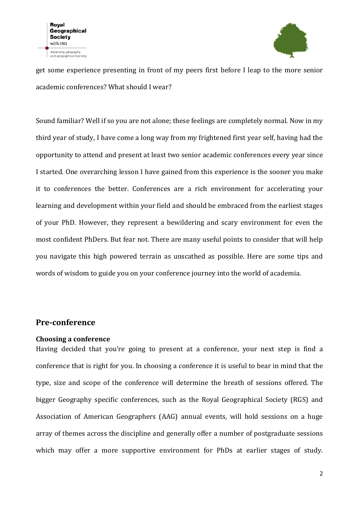

get some experience presenting in front of my peers first before I leap to the more senior academic conferences? What should I wear?

Sound familiar? Well if so you are not alone; these feelings are completely normal. Now in my third year of study, I have come a long way from my frightened first year self, having had the opportunity to attend and present at least two senior academic conferences every year since I started. One overarching lesson I have gained from this experience is the sooner you make it to conferences the better. Conferences are a rich environment for accelerating your learning and development within your field and should be embraced from the earliest stages of your PhD. However, they represent a bewildering and scary environment for even the most confident PhDers. But fear not. There are many useful points to consider that will help you navigate this high powered terrain as unscathed as possible. Here are some tips and words of wisdom to guide you on your conference journey into the world of academia.

## **Pre-conference**

#### **Choosing a conference**

Having decided that you're going to present at a conference, your next step is find a conference that is right for you. In choosing a conference it is useful to bear in mind that the type, size and scope of the conference will determine the breath of sessions offered. The bigger Geography specific conferences, such as the Royal Geographical Society (RGS) and Association of American Geographers (AAG) annual events, will hold sessions on a huge array of themes across the discipline and generally offer a number of postgraduate sessions which may offer a more supportive environment for PhDs at earlier stages of study.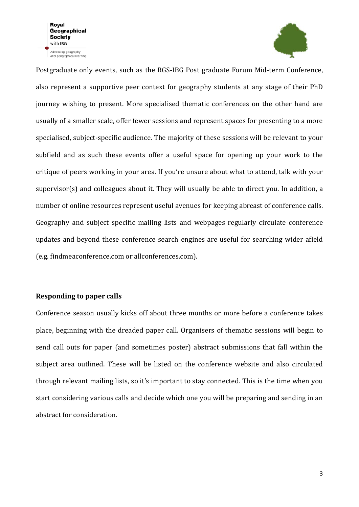

Postgraduate only events, such as the RGS-IBG Post graduate Forum Mid-term Conference, also represent a supportive peer context for geography students at any stage of their PhD journey wishing to present. More specialised thematic conferences on the other hand are usually of a smaller scale, offer fewer sessions and represent spaces for presenting to a more specialised, subject-specific audience. The majority of these sessions will be relevant to your subfield and as such these events offer a useful space for opening up your work to the critique of peers working in your area. If you're unsure about what to attend, talk with your supervisor(s) and colleagues about it. They will usually be able to direct you. In addition, a number of online resources represent useful avenues for keeping abreast of conference calls. Geography and subject specific mailing lists and webpages regularly circulate conference updates and beyond these conference search engines are useful for searching wider afield (e.g. findmeaconference.com or allconferences.com).

#### **Responding to paper calls**

Conference season usually kicks off about three months or more before a conference takes place, beginning with the dreaded paper call. Organisers of thematic sessions will begin to send call outs for paper (and sometimes poster) abstract submissions that fall within the subject area outlined. These will be listed on the conference website and also circulated through relevant mailing lists, so it's important to stay connected. This is the time when you start considering various calls and decide which one you will be preparing and sending in an abstract for consideration.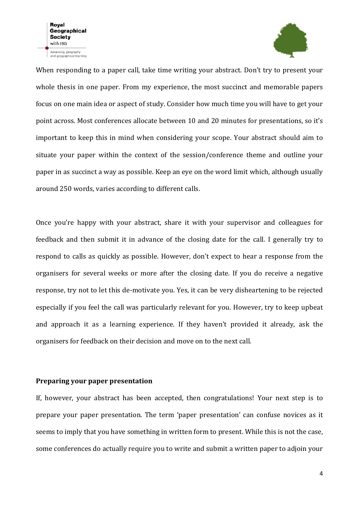

When responding to a paper call, take time writing your abstract. Don't try to present your whole thesis in one paper. From my experience, the most succinct and memorable papers focus on one main idea or aspect of study. Consider how much time you will have to get your point across. Most conferences allocate between 10 and 20 minutes for presentations, so it's important to keep this in mind when considering your scope. Your abstract should aim to situate your paper within the context of the session/conference theme and outline your paper in as succinct a way as possible. Keep an eye on the word limit which, although usually around 250 words, varies according to different calls.

Once you're happy with your abstract, share it with your supervisor and colleagues for feedback and then submit it in advance of the closing date for the call. I generally try to respond to calls as quickly as possible. However, don't expect to hear a response from the organisers for several weeks or more after the closing date. If you do receive a negative response, try not to let this de-motivate you. Yes, it can be very disheartening to be rejected especially if you feel the call was particularly relevant for you. However, try to keep upbeat and approach it as a learning experience. If they haven't provided it already, ask the organisers for feedback on their decision and move on to the next call.

### **Preparing your paper presentation**

If, however, your abstract has been accepted, then congratulations! Your next step is to prepare your paper presentation. The term 'paper presentation' can confuse novices as it seems to imply that you have something in written form to present. While this is not the case, some conferences do actually require you to write and submit a written paper to adjoin your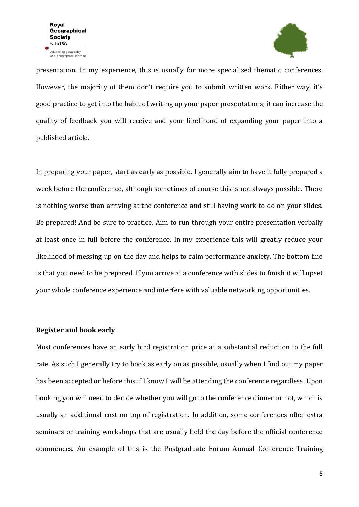

presentation. In my experience, this is usually for more specialised thematic conferences. However, the majority of them don't require you to submit written work. Either way, it's good practice to get into the habit of writing up your paper presentations; it can increase the quality of feedback you will receive and your likelihood of expanding your paper into a published article.

In preparing your paper, start as early as possible. I generally aim to have it fully prepared a week before the conference, although sometimes of course this is not always possible. There is nothing worse than arriving at the conference and still having work to do on your slides. Be prepared! And be sure to practice. Aim to run through your entire presentation verbally at least once in full before the conference. In my experience this will greatly reduce your likelihood of messing up on the day and helps to calm performance anxiety. The bottom line is that you need to be prepared. If you arrive at a conference with slides to finish it will upset your whole conference experience and interfere with valuable networking opportunities.

#### **Register and book early**

Most conferences have an early bird registration price at a substantial reduction to the full rate. As such I generally try to book as early on as possible, usually when I find out my paper has been accepted or before this if I know I will be attending the conference regardless. Upon booking you will need to decide whether you will go to the conference dinner or not, which is usually an additional cost on top of registration. In addition, some conferences offer extra seminars or training workshops that are usually held the day before the official conference commences. An example of this is the Postgraduate Forum Annual Conference Training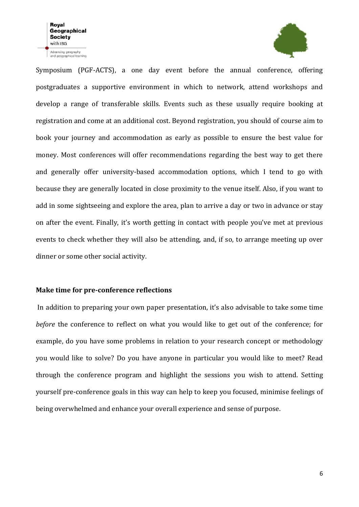

Symposium (PGF-ACTS), a one day event before the annual conference, offering postgraduates a supportive environment in which to network, attend workshops and develop a range of transferable skills. Events such as these usually require booking at registration and come at an additional cost. Beyond registration, you should of course aim to book your journey and accommodation as early as possible to ensure the best value for money. Most conferences will offer recommendations regarding the best way to get there and generally offer university-based accommodation options, which I tend to go with because they are generally located in close proximity to the venue itself. Also, if you want to add in some sightseeing and explore the area, plan to arrive a day or two in advance or stay on after the event. Finally, it's worth getting in contact with people you've met at previous events to check whether they will also be attending, and, if so, to arrange meeting up over dinner or some other social activity.

#### **Make time for pre-conference reflections**

In addition to preparing your own paper presentation, it's also advisable to take some time *before* the conference to reflect on what you would like to get out of the conference; for example, do you have some problems in relation to your research concept or methodology you would like to solve? Do you have anyone in particular you would like to meet? Read through the conference program and highlight the sessions you wish to attend. Setting yourself pre-conference goals in this way can help to keep you focused, minimise feelings of being overwhelmed and enhance your overall experience and sense of purpose.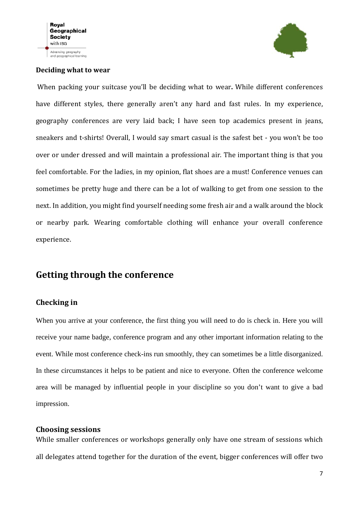

### **Deciding what to wear**

When packing your suitcase you'll be deciding what to wear**.** While different conferences have different styles, there generally aren't any hard and fast rules. In my experience, geography conferences are very laid back; I have seen top academics present in jeans, sneakers and t-shirts! Overall, I would say smart casual is the safest bet - you won't be too over or under dressed and will maintain a professional air. The important thing is that you feel comfortable. For the ladies, in my opinion, flat shoes are a must! Conference venues can sometimes be pretty huge and there can be a lot of walking to get from one session to the next. In addition, you might find yourself needing some fresh air and a walk around the block or nearby park. Wearing comfortable clothing will enhance your overall conference experience.

# **Getting through the conference**

## **Checking in**

When you arrive at your conference, the first thing you will need to do is check in. Here you will receive your name badge, conference program and any other important information relating to the event. While most conference check-ins run smoothly, they can sometimes be a little disorganized. In these circumstances it helps to be patient and nice to everyone. Often the conference welcome area will be managed by influential people in your discipline so you don't want to give a bad impression.

## **Choosing sessions**

While smaller conferences or workshops generally only have one stream of sessions which all delegates attend together for the duration of the event, bigger conferences will offer two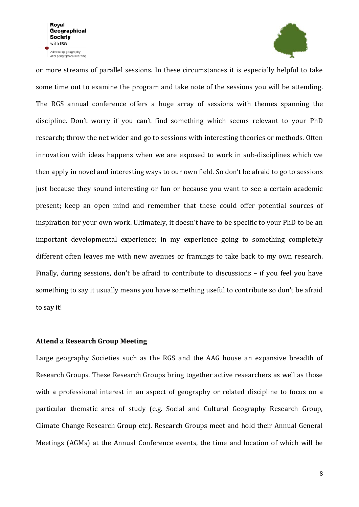

or more streams of parallel sessions. In these circumstances it is especially helpful to take some time out to examine the program and take note of the sessions you will be attending. The RGS annual conference offers a huge array of sessions with themes spanning the discipline. Don't worry if you can't find something which seems relevant to your PhD research; throw the net wider and go to sessions with interesting theories or methods. Often innovation with ideas happens when we are exposed to work in sub-disciplines which we then apply in novel and interesting ways to our own field. So don't be afraid to go to sessions just because they sound interesting or fun or because you want to see a certain academic present; keep an open mind and remember that these could offer potential sources of inspiration for your own work. Ultimately, it doesn't have to be specific to your PhD to be an important developmental experience; in my experience going to something completely different often leaves me with new avenues or framings to take back to my own research. Finally, during sessions, don't be afraid to contribute to discussions – if you feel you have something to say it usually means you have something useful to contribute so don't be afraid to say it!

#### **Attend a Research Group Meeting**

Large geography Societies such as the RGS and the AAG house an expansive breadth of Research Groups. These Research Groups bring together active researchers as well as those with a professional interest in an aspect of geography or related discipline to focus on a particular thematic area of study (e.g. Social and Cultural Geography Research Group, Climate Change Research Group etc). Research Groups meet and hold their Annual General Meetings (AGMs) at the Annual Conference events, the time and location of which will be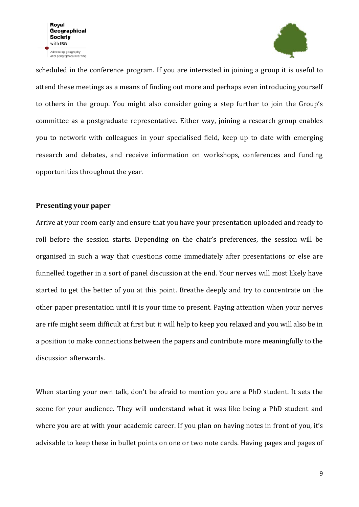

scheduled in the conference program. If you are interested in joining a group it is useful to attend these meetings as a means of finding out more and perhaps even introducing yourself to others in the group. You might also consider going a step further to join the Group's committee as a postgraduate representative. Either way, joining a research group enables you to network with colleagues in your specialised field, keep up to date with emerging research and debates, and receive information on workshops, conferences and funding opportunities throughout the year.

#### **Presenting your paper**

Arrive at your room early and ensure that you have your presentation uploaded and ready to roll before the session starts. Depending on the chair's preferences, the session will be organised in such a way that questions come immediately after presentations or else are funnelled together in a sort of panel discussion at the end. Your nerves will most likely have started to get the better of you at this point. Breathe deeply and try to concentrate on the other paper presentation until it is your time to present. Paying attention when your nerves are rife might seem difficult at first but it will help to keep you relaxed and you will also be in a position to make connections between the papers and contribute more meaningfully to the discussion afterwards.

When starting your own talk, don't be afraid to mention you are a PhD student. It sets the scene for your audience. They will understand what it was like being a PhD student and where you are at with your academic career. If you plan on having notes in front of you, it's advisable to keep these in bullet points on one or two note cards. Having pages and pages of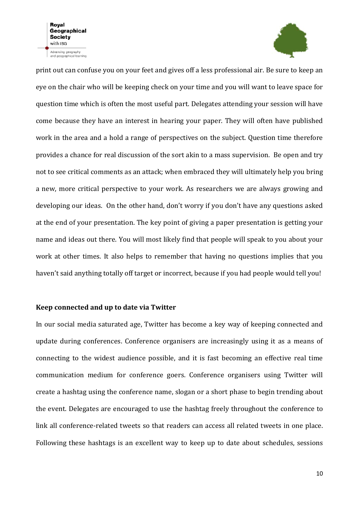

print out can confuse you on your feet and gives off a less professional air. Be sure to keep an eye on the chair who will be keeping check on your time and you will want to leave space for question time which is often the most useful part. Delegates attending your session will have come because they have an interest in hearing your paper. They will often have published work in the area and a hold a range of perspectives on the subject. Question time therefore provides a chance for real discussion of the sort akin to a mass supervision. Be open and try not to see critical comments as an attack; when embraced they will ultimately help you bring a new, more critical perspective to your work. As researchers we are always growing and developing our ideas. On the other hand, don't worry if you don't have any questions asked at the end of your presentation. The key point of giving a paper presentation is getting your name and ideas out there. You will most likely find that people will speak to you about your work at other times. It also helps to remember that having no questions implies that you haven't said anything totally off target or incorrect, because if you had people would tell you!

#### **Keep connected and up to date via Twitter**

In our social media saturated age, Twitter has become a key way of keeping connected and update during conferences. Conference organisers are increasingly using it as a means of connecting to the widest audience possible, and it is fast becoming an effective real time communication medium for conference goers. Conference organisers using Twitter will create a hashtag using the conference name, slogan or a short phase to begin trending about the event. Delegates are encouraged to use the hashtag freely throughout the conference to link all conference-related tweets so that readers can access all related tweets in one place. Following these hashtags is an excellent way to keep up to date about schedules, sessions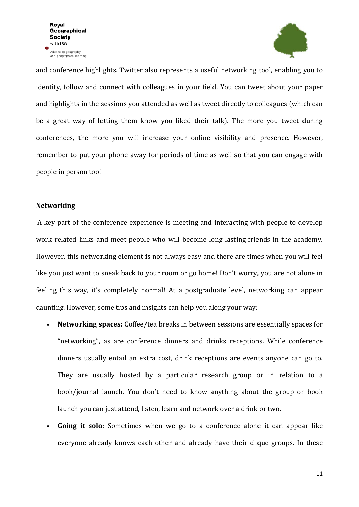

and conference highlights. Twitter also represents a useful networking tool, enabling you to identity, follow and connect with colleagues in your field. You can tweet about your paper and highlights in the sessions you attended as well as tweet directly to colleagues (which can be a great way of letting them know you liked their talk). The more you tweet during conferences, the more you will increase your online visibility and presence. However, remember to put your phone away for periods of time as well so that you can engage with people in person too!

#### **Networking**

A key part of the conference experience is meeting and interacting with people to develop work related links and meet people who will become long lasting friends in the academy. However, this networking element is not always easy and there are times when you will feel like you just want to sneak back to your room or go home! Don't worry, you are not alone in feeling this way, it's completely normal! At a postgraduate level, networking can appear daunting. However, some tips and insights can help you along your way:

- **Networking spaces:** Coffee/tea breaks in between sessions are essentially spaces for "networking", as are conference dinners and drinks receptions. While conference dinners usually entail an extra cost, drink receptions are events anyone can go to. They are usually hosted by a particular research group or in relation to a book/journal launch. You don't need to know anything about the group or book launch you can just attend, listen, learn and network over a drink or two.
- **Going it solo**: Sometimes when we go to a conference alone it can appear like everyone already knows each other and already have their clique groups. In these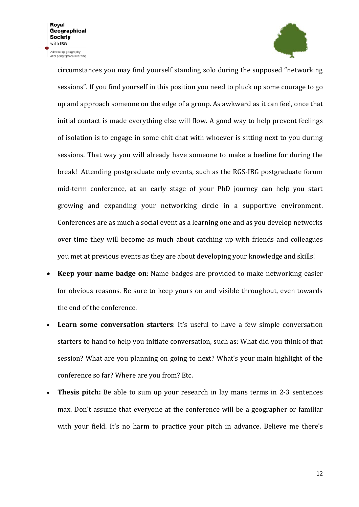Advancing geography<br>and geographical learning



circumstances you may find yourself standing solo during the supposed "networking sessions". If you find yourself in this position you need to pluck up some courage to go up and approach someone on the edge of a group. As awkward as it can feel, once that initial contact is made everything else will flow. A good way to help prevent feelings of isolation is to engage in some chit chat with whoever is sitting next to you during sessions. That way you will already have someone to make a beeline for during the break! Attending postgraduate only events, such as the RGS-IBG postgraduate forum mid-term conference, at an early stage of your PhD journey can help you start growing and expanding your networking circle in a supportive environment. Conferences are as much a social event as a learning one and as you develop networks over time they will become as much about catching up with friends and colleagues you met at previous events as they are about developing your knowledge and skills!

- **Keep your name badge on**: Name badges are provided to make networking easier for obvious reasons. Be sure to keep yours on and visible throughout, even towards the end of the conference.
- **Learn some conversation starters**: It's useful to have a few simple conversation starters to hand to help you initiate conversation, such as: What did you think of that session? What are you planning on going to next? What's your main highlight of the conference so far? Where are you from? Etc.
- **Thesis pitch:** Be able to sum up your research in lay mans terms in 2-3 sentences max. Don't assume that everyone at the conference will be a geographer or familiar with your field. It's no harm to practice your pitch in advance. Believe me there's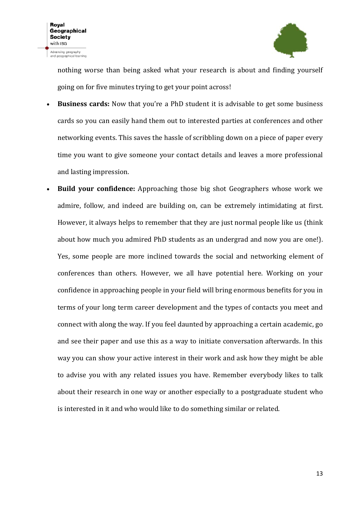

nothing worse than being asked what your research is about and finding yourself going on for five minutes trying to get your point across!

- **Business cards:** Now that you're a PhD student it is advisable to get some business cards so you can easily hand them out to interested parties at conferences and other networking events. This saves the hassle of scribbling down on a piece of paper every time you want to give someone your contact details and leaves a more professional and lasting impression.
- **Build your confidence:** Approaching those big shot Geographers whose work we admire, follow, and indeed are building on, can be extremely intimidating at first. However, it always helps to remember that they are just normal people like us (think about how much you admired PhD students as an undergrad and now you are one!). Yes, some people are more inclined towards the social and networking element of conferences than others. However, we all have potential here. Working on your confidence in approaching people in your field will bring enormous benefits for you in terms of your long term career development and the types of contacts you meet and connect with along the way. If you feel daunted by approaching a certain academic, go and see their paper and use this as a way to initiate conversation afterwards. In this way you can show your active interest in their work and ask how they might be able to advise you with any related issues you have. Remember everybody likes to talk about their research in one way or another especially to a postgraduate student who is interested in it and who would like to do something similar or related.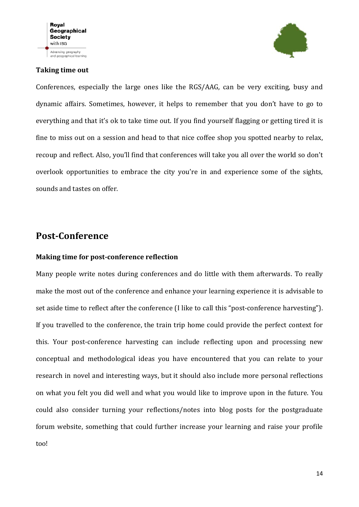#### **Taking time out**



Conferences, especially the large ones like the RGS/AAG, can be very exciting, busy and dynamic affairs. Sometimes, however, it helps to remember that you don't have to go to everything and that it's ok to take time out. If you find yourself flagging or getting tired it is fine to miss out on a session and head to that nice coffee shop you spotted nearby to relax, recoup and reflect. Also, you'll find that conferences will take you all over the world so don't overlook opportunities to embrace the city you're in and experience some of the sights, sounds and tastes on offer.

# **Post-Conference**

#### **Making time for post-conference reflection**

Many people write notes during conferences and do little with them afterwards. To really make the most out of the conference and enhance your learning experience it is advisable to set aside time to reflect after the conference (I like to call this "post-conference harvesting"). If you travelled to the conference, the train trip home could provide the perfect context for this. Your post-conference harvesting can include reflecting upon and processing new conceptual and methodological ideas you have encountered that you can relate to your research in novel and interesting ways, but it should also include more personal reflections on what you felt you did well and what you would like to improve upon in the future. You could also consider turning your reflections/notes into blog posts for the postgraduate forum website, something that could further increase your learning and raise your profile too!